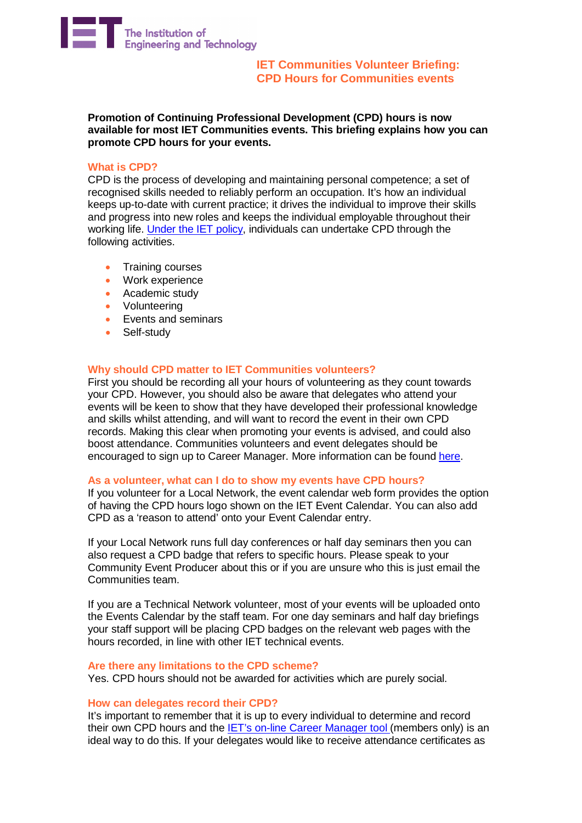

**IET Communities Volunteer Briefing: CPD Hours for Communities events**

**Promotion of Continuing Professional Development (CPD) hours is now available for most IET Communities events. This briefing explains how you can promote CPD hours for your events.**

## **What is CPD?**

CPD is the process of developing and maintaining personal competence; a set of recognised skills needed to reliably perform an occupation. It's how an individual keeps up-to-date with current practice; it drives the individual to improve their skills and progress into new roles and keeps the individual employable throughout their working life. [Under](http://www.theiet.org/membership/career/cpd/policy/) the IET policy, individuals can undertake CPD through the following activities.

- Training courses<br>• Work experience
- Work experience
- Academic study
- Volunteering
- Events and seminars
- Self-study

# **Why should CPD matter to IET Communities volunteers?**

First you should be recording all your hours of volunteering as they count towards your CPD. However, you should also be aware that delegates who attend your events will be keen to show that they have developed their professional knowledge and skills whilst attending, and will want to record the event in their own CPD records. Making this clear when promoting your events is advised, and could also boost attendance. Communities volunteers and event delegates should be encouraged to sign up to Career Manager. More information can be found [here.](http://www.theiet.org/membership/career/cmanager/index.cfm)

### **As a volunteer, what can I do to show my events have CPD hours?**

If you volunteer for a Local Network, the event calendar web form provides the option of having the CPD hours logo shown on the IET Event Calendar. You can also add CPD as a 'reason to attend' onto your Event Calendar entry.

If your Local Network runs full day conferences or half day seminars then you can also request a CPD badge that refers to specific hours. Please speak to your Community Event Producer about this or if you are unsure who this is just email the Communities team.

If you are a Technical Network volunteer, most of your events will be uploaded onto the Events Calendar by the staff team. For one day seminars and half day briefings your staff support will be placing CPD badges on the relevant web pages with the hours recorded, in line with other IET technical events.

### **Are there any limitations to the CPD scheme?**

Yes. CPD hours should not be awarded for activities which are purely social.

## **How can delegates record their CPD?**

It's important to remember that it is up to every individual to determine and record their own CPD hours and the IET's on-line Career [Manager](http://www.theiet.org/membership/career/cmanager/index.cfm) tool (members only) is an ideal way to do this. If your delegates would like to receive attendance certificates as